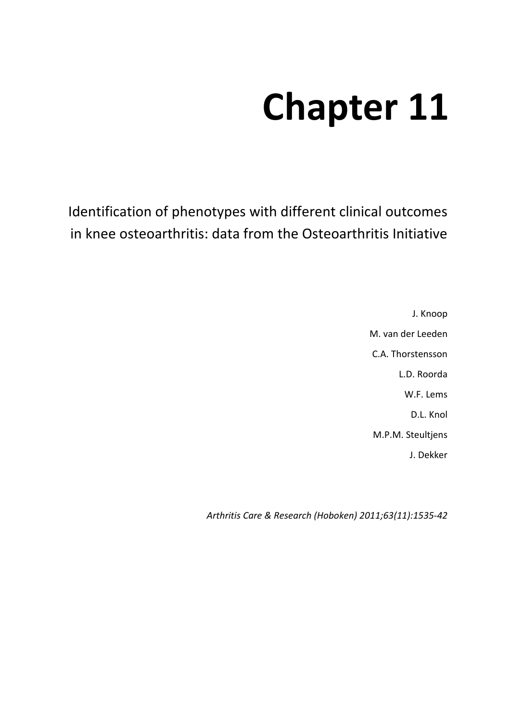# **Chapter 11**

Identification of phenotypes with different clinical outcomes in knee osteoarthritis: data from the Osteoarthritis Initiative

> J. Knoop M. van der Leeden C.A. Thorstensson L.D. Roorda W.F. Lems D.L. Knol M.P.M. Steultjens J. Dekker

*Arthritis Care & Research (Hoboken) 2011;63(11):1535-42*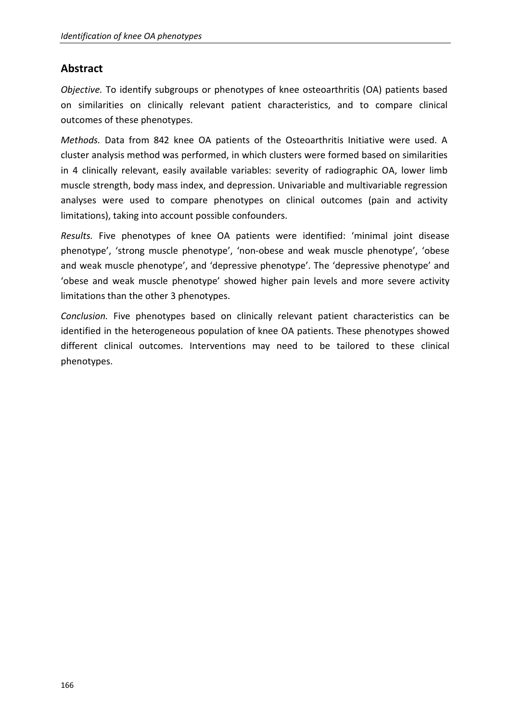## **Abstract**

*Objective.* To identify subgroups or phenotypes of knee osteoarthritis (OA) patients based on similarities on clinically relevant patient characteristics, and to compare clinical outcomes of these phenotypes.

*Methods.* Data from 842 knee OA patients of the Osteoarthritis Initiative were used. A cluster analysis method was performed, in which clusters were formed based on similarities in 4 clinically relevant, easily available variables: severity of radiographic OA, lower limb muscle strength, body mass index, and depression. Univariable and multivariable regression analyses were used to compare phenotypes on clinical outcomes (pain and activity limitations), taking into account possible confounders.

*Results.* Five phenotypes of knee OA patients were identified: 'minimal joint disease phenotype', 'strong muscle phenotype', 'non-obese and weak muscle phenotype', 'obese and weak muscle phenotype', and 'depressive phenotype'. The 'depressive phenotype' and 'obese and weak muscle phenotype' showed higher pain levels and more severe activity limitations than the other 3 phenotypes.

*Conclusion.* Five phenotypes based on clinically relevant patient characteristics can be identified in the heterogeneous population of knee OA patients. These phenotypes showed different clinical outcomes. Interventions may need to be tailored to these clinical phenotypes.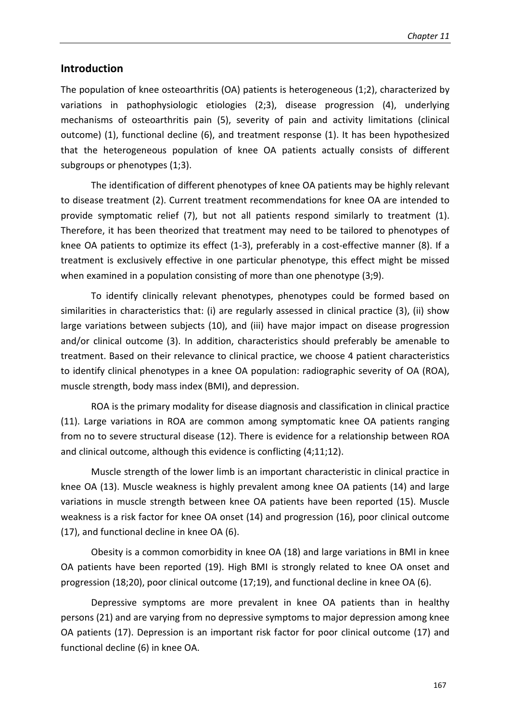## **Introduction**

The population of knee osteoarthritis (OA) patients is heterogeneous (1;2), characterized by variations in pathophysiologic etiologies (2;3), disease progression (4), underlying mechanisms of osteoarthritis pain (5), severity of pain and activity limitations (clinical outcome) (1), functional decline (6), and treatment response (1). It has been hypothesized that the heterogeneous population of knee OA patients actually consists of different subgroups or phenotypes (1;3).

The identification of different phenotypes of knee OA patients may be highly relevant to disease treatment (2). Current treatment recommendations for knee OA are intended to provide symptomatic relief (7), but not all patients respond similarly to treatment (1). Therefore, it has been theorized that treatment may need to be tailored to phenotypes of knee OA patients to optimize its effect (1-3), preferably in a cost-effective manner (8). If a treatment is exclusively effective in one particular phenotype, this effect might be missed when examined in a population consisting of more than one phenotype (3;9).

To identify clinically relevant phenotypes, phenotypes could be formed based on similarities in characteristics that: (i) are regularly assessed in clinical practice (3), (ii) show large variations between subjects (10), and (iii) have major impact on disease progression and/or clinical outcome (3). In addition, characteristics should preferably be amenable to treatment. Based on their relevance to clinical practice, we choose 4 patient characteristics to identify clinical phenotypes in a knee OA population: radiographic severity of OA (ROA), muscle strength, body mass index (BMI), and depression.

ROA is the primary modality for disease diagnosis and classification in clinical practice (11). Large variations in ROA are common among symptomatic knee OA patients ranging from no to severe structural disease (12). There is evidence for a relationship between ROA and clinical outcome, although this evidence is conflicting (4;11;12).

Muscle strength of the lower limb is an important characteristic in clinical practice in knee OA (13). Muscle weakness is highly prevalent among knee OA patients (14) and large variations in muscle strength between knee OA patients have been reported (15). Muscle weakness is a risk factor for knee OA onset (14) and progression (16), poor clinical outcome (17), and functional decline in knee OA (6).

Obesity is a common comorbidity in knee OA (18) and large variations in BMI in knee OA patients have been reported (19). High BMI is strongly related to knee OA onset and progression (18;20), poor clinical outcome (17;19), and functional decline in knee OA (6).

Depressive symptoms are more prevalent in knee OA patients than in healthy persons (21) and are varying from no depressive symptoms to major depression among knee OA patients (17). Depression is an important risk factor for poor clinical outcome (17) and functional decline (6) in knee OA.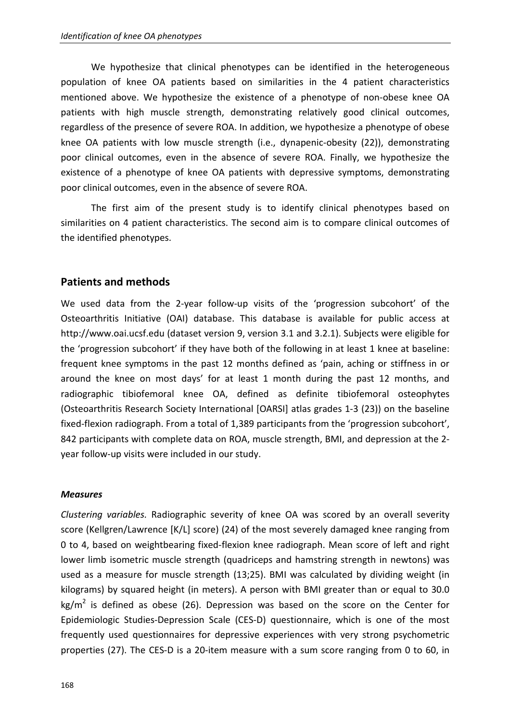We hypothesize that clinical phenotypes can be identified in the heterogeneous population of knee OA patients based on similarities in the 4 patient characteristics mentioned above. We hypothesize the existence of a phenotype of non-obese knee OA patients with high muscle strength, demonstrating relatively good clinical outcomes, regardless of the presence of severe ROA. In addition, we hypothesize a phenotype of obese knee OA patients with low muscle strength (i.e., dynapenic-obesity (22)), demonstrating poor clinical outcomes, even in the absence of severe ROA. Finally, we hypothesize the existence of a phenotype of knee OA patients with depressive symptoms, demonstrating poor clinical outcomes, even in the absence of severe ROA.

 The first aim of the present study is to identify clinical phenotypes based on similarities on 4 patient characteristics. The second aim is to compare clinical outcomes of the identified phenotypes.

## **Patients and methods**

We used data from the 2-year follow-up visits of the 'progression subcohort' of the Osteoarthritis Initiative (OAI) database. This database is available for public access at http://www.oai.ucsf.edu (dataset version 9, version 3.1 and 3.2.1). Subjects were eligible for the 'progression subcohort' if they have both of the following in at least 1 knee at baseline: frequent knee symptoms in the past 12 months defined as 'pain, aching or stiffness in or around the knee on most days' for at least 1 month during the past 12 months, and radiographic tibiofemoral knee OA, defined as definite tibiofemoral osteophytes (Osteoarthritis Research Society International [OARSI] atlas grades 1-3 (23)) on the baseline fixed-flexion radiograph. From a total of 1,389 participants from the 'progression subcohort', 842 participants with complete data on ROA, muscle strength, BMI, and depression at the 2 year follow-up visits were included in our study.

## *Measures*

*Clustering variables.* Radiographic severity of knee OA was scored by an overall severity score (Kellgren/Lawrence [K/L] score) (24) of the most severely damaged knee ranging from 0 to 4, based on weightbearing fixed-flexion knee radiograph. Mean score of left and right lower limb isometric muscle strength (quadriceps and hamstring strength in newtons) was used as a measure for muscle strength (13;25). BMI was calculated by dividing weight (in kilograms) by squared height (in meters). A person with BMI greater than or equal to 30.0 kg/m<sup>2</sup> is defined as obese (26). Depression was based on the score on the Center for Epidemiologic Studies-Depression Scale (CES-D) questionnaire, which is one of the most frequently used questionnaires for depressive experiences with very strong psychometric properties (27). The CES-D is a 20-item measure with a sum score ranging from 0 to 60, in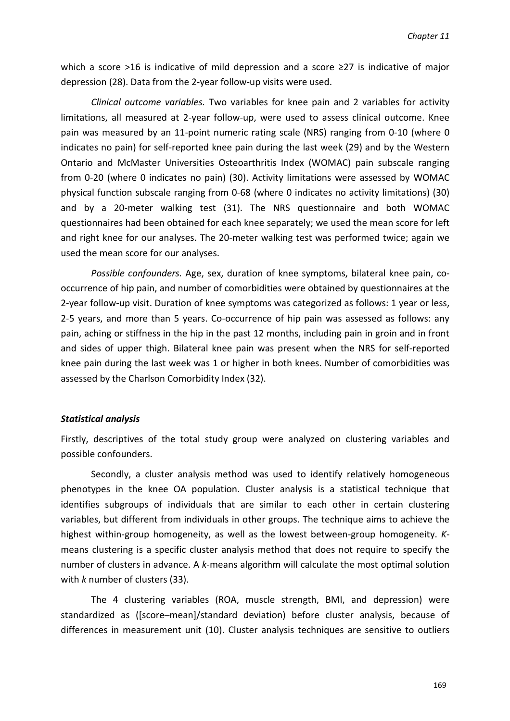which a score >16 is indicative of mild depression and a score ≥27 is indicative of major depression (28). Data from the 2-year follow-up visits were used.

*Clinical outcome variables.* Two variables for knee pain and 2 variables for activity limitations, all measured at 2-year follow-up, were used to assess clinical outcome. Knee pain was measured by an 11-point numeric rating scale (NRS) ranging from 0-10 (where 0 indicates no pain) for self-reported knee pain during the last week (29) and by the Western Ontario and McMaster Universities Osteoarthritis Index (WOMAC) pain subscale ranging from 0-20 (where 0 indicates no pain) (30). Activity limitations were assessed by WOMAC physical function subscale ranging from 0-68 (where 0 indicates no activity limitations) (30) and by a 20-meter walking test (31). The NRS questionnaire and both WOMAC questionnaires had been obtained for each knee separately; we used the mean score for left and right knee for our analyses. The 20-meter walking test was performed twice; again we used the mean score for our analyses.

*Possible confounders.* Age, sex, duration of knee symptoms, bilateral knee pain, cooccurrence of hip pain, and number of comorbidities were obtained by questionnaires at the 2-year follow-up visit. Duration of knee symptoms was categorized as follows: 1 year or less, 2-5 years, and more than 5 years. Co-occurrence of hip pain was assessed as follows: any pain, aching or stiffness in the hip in the past 12 months, including pain in groin and in front and sides of upper thigh. Bilateral knee pain was present when the NRS for self-reported knee pain during the last week was 1 or higher in both knees. Number of comorbidities was assessed by the Charlson Comorbidity Index (32).

#### *Statistical analysis*

Firstly, descriptives of the total study group were analyzed on clustering variables and possible confounders.

Secondly, a cluster analysis method was used to identify relatively homogeneous phenotypes in the knee OA population. Cluster analysis is a statistical technique that identifies subgroups of individuals that are similar to each other in certain clustering variables, but different from individuals in other groups. The technique aims to achieve the highest within-group homogeneity, as well as the lowest between-group homogeneity. *K*means clustering is a specific cluster analysis method that does not require to specify the number of clusters in advance. A *k*-means algorithm will calculate the most optimal solution with *k* number of clusters (33).

The 4 clustering variables (ROA, muscle strength, BMI, and depression) were standardized as ([score–mean]/standard deviation) before cluster analysis, because of differences in measurement unit (10). Cluster analysis techniques are sensitive to outliers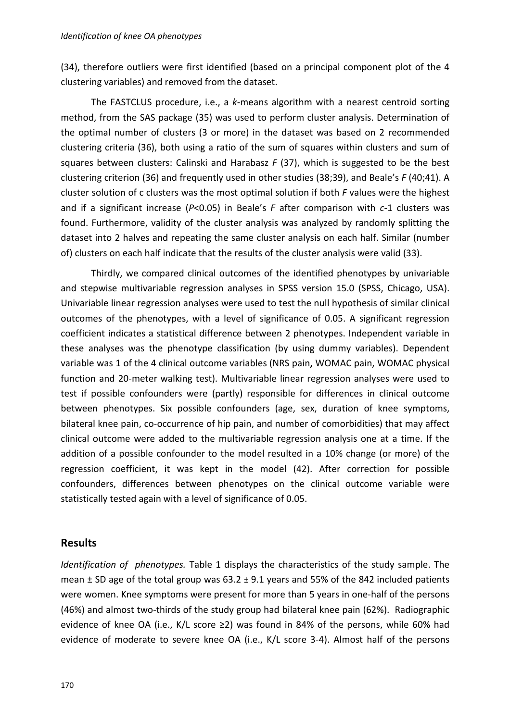(34), therefore outliers were first identified (based on a principal component plot of the 4 clustering variables) and removed from the dataset.

The FASTCLUS procedure, i.e., a *k*-means algorithm with a nearest centroid sorting method, from the SAS package (35) was used to perform cluster analysis. Determination of the optimal number of clusters (3 or more) in the dataset was based on 2 recommended clustering criteria (36), both using a ratio of the sum of squares within clusters and sum of squares between clusters: Calinski and Harabasz *F* (37), which is suggested to be the best clustering criterion (36) and frequently used in other studies (38;39), and Beale's *F* (40;41). A cluster solution of c clusters was the most optimal solution if both *F* values were the highest and if a significant increase (*P*<0.05) in Beale's *F* after comparison with *c*-1 clusters was found. Furthermore, validity of the cluster analysis was analyzed by randomly splitting the dataset into 2 halves and repeating the same cluster analysis on each half. Similar (number of) clusters on each half indicate that the results of the cluster analysis were valid (33).

Thirdly, we compared clinical outcomes of the identified phenotypes by univariable and stepwise multivariable regression analyses in SPSS version 15.0 (SPSS, Chicago, USA). Univariable linear regression analyses were used to test the null hypothesis of similar clinical outcomes of the phenotypes, with a level of significance of 0.05. A significant regression coefficient indicates a statistical difference between 2 phenotypes. Independent variable in these analyses was the phenotype classification (by using dummy variables). Dependent variable was 1 of the 4 clinical outcome variables (NRS pain**,** WOMAC pain, WOMAC physical function and 20-meter walking test). Multivariable linear regression analyses were used to test if possible confounders were (partly) responsible for differences in clinical outcome between phenotypes. Six possible confounders (age, sex, duration of knee symptoms, bilateral knee pain, co-occurrence of hip pain, and number of comorbidities) that may affect clinical outcome were added to the multivariable regression analysis one at a time. If the addition of a possible confounder to the model resulted in a 10% change (or more) of the regression coefficient, it was kept in the model (42). After correction for possible confounders, differences between phenotypes on the clinical outcome variable were statistically tested again with a level of significance of 0.05.

## **Results**

*Identification of phenotypes.* Table 1 displays the characteristics of the study sample. The mean  $\pm$  SD age of the total group was 63.2  $\pm$  9.1 years and 55% of the 842 included patients were women. Knee symptoms were present for more than 5 years in one-half of the persons (46%) and almost two-thirds of the study group had bilateral knee pain (62%). Radiographic evidence of knee OA (i.e., K/L score ≥2) was found in 84% of the persons, while 60% had evidence of moderate to severe knee OA (i.e., K/L score 3-4). Almost half of the persons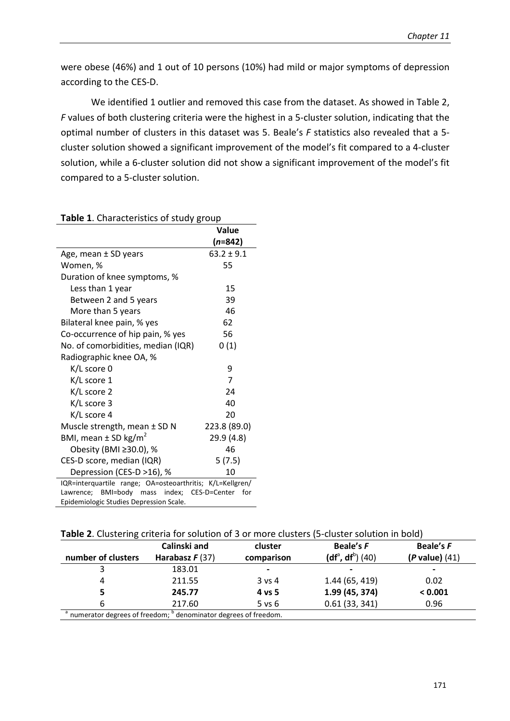were obese (46%) and 1 out of 10 persons (10%) had mild or major symptoms of depression according to the CES-D.

We identified 1 outlier and removed this case from the dataset. As showed in Table 2, *F* values of both clustering criteria were the highest in a 5-cluster solution, indicating that the optimal number of clusters in this dataset was 5. Beale's *F* statistics also revealed that a 5 cluster solution showed a significant improvement of the model's fit compared to a 4-cluster solution, while a 6-cluster solution did not show a significant improvement of the model's fit compared to a 5-cluster solution.

|                                                                | Value          |  |  |  |
|----------------------------------------------------------------|----------------|--|--|--|
|                                                                | (n=842)        |  |  |  |
| Age, mean ± SD years                                           | $63.2 \pm 9.1$ |  |  |  |
| Women, %                                                       | 55             |  |  |  |
| Duration of knee symptoms, %                                   |                |  |  |  |
| Less than 1 year                                               | 15             |  |  |  |
| Between 2 and 5 years                                          | 39             |  |  |  |
| More than 5 years                                              | 46             |  |  |  |
| Bilateral knee pain, % yes                                     | 62             |  |  |  |
| Co-occurrence of hip pain, % yes                               | 56             |  |  |  |
| No. of comorbidities, median (IQR)                             | 0(1)           |  |  |  |
| Radiographic knee OA, %                                        |                |  |  |  |
| K/L score 0                                                    | 9              |  |  |  |
| K/L score 1                                                    | $\overline{7}$ |  |  |  |
| K/L score 2                                                    | 24             |  |  |  |
| K/L score 3                                                    | 40             |  |  |  |
| K/L score 4                                                    | 20             |  |  |  |
| Muscle strength, mean $\pm$ SD N                               | 223.8 (89.0)   |  |  |  |
| BMI, mean $\pm$ SD kg/m <sup>2</sup>                           | 29.9 (4.8)     |  |  |  |
| Obesity (BMI ≥30.0), %                                         | 46             |  |  |  |
| CES-D score, median (IQR)                                      | 5(7.5)         |  |  |  |
| Depression (CES-D >16), %                                      | 10             |  |  |  |
| IQR=interquartile range; OA=osteoarthritis; K/L=Kellgren/      |                |  |  |  |
| Lawrence; BMI=body mass index;<br>CES-D=Center<br>for <b>f</b> |                |  |  |  |
| Epidemiologic Studies Depression Scale.                        |                |  |  |  |

#### **Table 1**. Characteristics of study group

|                    | Calinski and                                                                            | cluster                  | Beale's F           | Beale's F                |
|--------------------|-----------------------------------------------------------------------------------------|--------------------------|---------------------|--------------------------|
| number of clusters | Harabasz $F(37)$                                                                        | comparison               | $(df^a, df^b)$ (40) | $(P$ value) $(41)$       |
|                    | 183.01                                                                                  | $\overline{\phantom{0}}$ |                     | $\overline{\phantom{0}}$ |
| 4                  | 211.55                                                                                  | $3$ vs 4                 | 1.44(65, 419)       | 0.02                     |
|                    | 245.77                                                                                  | 4 vs 5                   | 1.99 (45, 374)      | < 0.001                  |
| 6                  | 217.60                                                                                  | $5$ vs $6$               | 0.61(33, 341)       | 0.96                     |
|                    | <sup>a</sup> numerator degrees of freedom; <sup>b</sup> denominator degrees of freedom. |                          |                     |                          |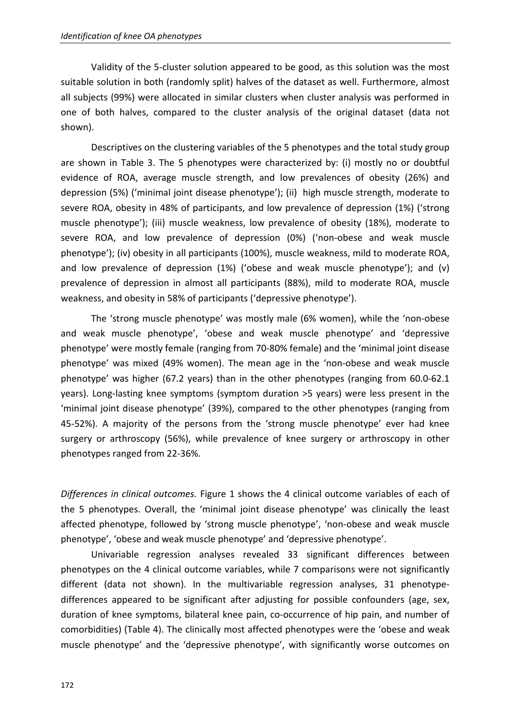Validity of the 5-cluster solution appeared to be good, as this solution was the most suitable solution in both (randomly split) halves of the dataset as well. Furthermore, almost all subjects (99%) were allocated in similar clusters when cluster analysis was performed in one of both halves, compared to the cluster analysis of the original dataset (data not shown).

Descriptives on the clustering variables of the 5 phenotypes and the total study group are shown in Table 3. The 5 phenotypes were characterized by: (i) mostly no or doubtful evidence of ROA, average muscle strength, and low prevalences of obesity (26%) and depression (5%) ('minimal joint disease phenotype'); (ii) high muscle strength, moderate to severe ROA, obesity in 48% of participants, and low prevalence of depression (1%) ('strong muscle phenotype'); (iii) muscle weakness, low prevalence of obesity (18%), moderate to severe ROA, and low prevalence of depression (0%) ('non-obese and weak muscle phenotype'); (iv) obesity in all participants (100%), muscle weakness, mild to moderate ROA, and low prevalence of depression (1%) ('obese and weak muscle phenotype'); and (v) prevalence of depression in almost all participants (88%), mild to moderate ROA, muscle weakness, and obesity in 58% of participants ('depressive phenotype').

The 'strong muscle phenotype' was mostly male (6% women), while the 'non-obese and weak muscle phenotype', 'obese and weak muscle phenotype' and 'depressive phenotype' were mostly female (ranging from 70-80% female) and the 'minimal joint disease phenotype' was mixed (49% women). The mean age in the 'non-obese and weak muscle phenotype' was higher (67.2 years) than in the other phenotypes (ranging from 60.0-62.1 years). Long-lasting knee symptoms (symptom duration >5 years) were less present in the 'minimal joint disease phenotype' (39%), compared to the other phenotypes (ranging from 45-52%). A majority of the persons from the 'strong muscle phenotype' ever had knee surgery or arthroscopy (56%), while prevalence of knee surgery or arthroscopy in other phenotypes ranged from 22-36%.

*Differences in clinical outcomes.* Figure 1 shows the 4 clinical outcome variables of each of the 5 phenotypes. Overall, the 'minimal joint disease phenotype' was clinically the least affected phenotype, followed by 'strong muscle phenotype', 'non-obese and weak muscle phenotype', 'obese and weak muscle phenotype' and 'depressive phenotype'.

Univariable regression analyses revealed 33 significant differences between phenotypes on the 4 clinical outcome variables, while 7 comparisons were not significantly different (data not shown). In the multivariable regression analyses, 31 phenotypedifferences appeared to be significant after adjusting for possible confounders (age, sex, duration of knee symptoms, bilateral knee pain, co-occurrence of hip pain, and number of comorbidities) (Table 4). The clinically most affected phenotypes were the 'obese and weak muscle phenotype' and the 'depressive phenotype', with significantly worse outcomes on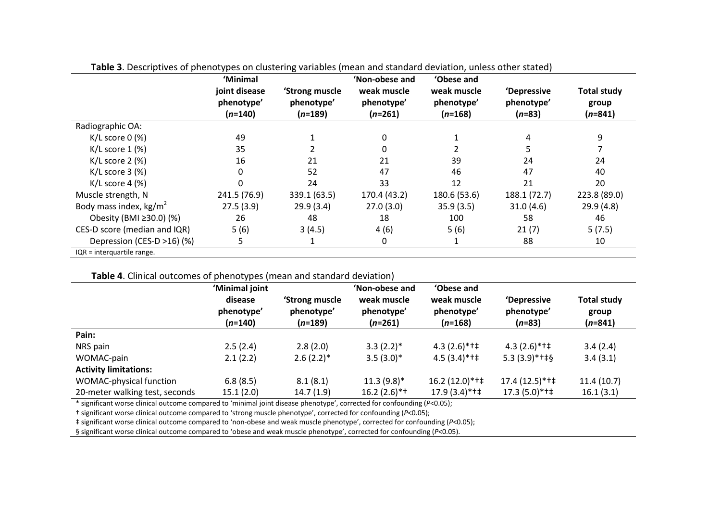| 'Minimal<br>joint disease | 'Strong muscle<br>phenotype'<br>$(n=189)$ | 'Non-obese and<br>weak muscle<br>phenotype'<br>$(n=261)$ | 'Obese and<br>weak muscle<br>phenotype'<br>$(n=168)$ | 'Depressive<br>phenotype'<br>$(n=83)$ | <b>Total study</b><br>group<br>$(n=841)$ |
|---------------------------|-------------------------------------------|----------------------------------------------------------|------------------------------------------------------|---------------------------------------|------------------------------------------|
|                           |                                           |                                                          |                                                      |                                       |                                          |
|                           |                                           |                                                          |                                                      |                                       |                                          |
| 49                        |                                           |                                                          |                                                      | 4                                     | 9                                        |
| 35                        |                                           |                                                          |                                                      | 5                                     |                                          |
| 16                        | 21                                        | 21                                                       | 39                                                   | 24                                    | 24                                       |
| 0                         | 52                                        | 47                                                       | 46                                                   | 47                                    | 40                                       |
|                           | 24                                        | 33                                                       | 12                                                   | 21                                    | 20                                       |
| 241.5 (76.9)              | 339.1 (63.5)                              | 170.4 (43.2)                                             | 180.6 (53.6)                                         | 188.1 (72.7)                          | 223.8 (89.0)                             |
| 27.5(3.9)                 | 29.9(3.4)                                 | 27.0(3.0)                                                | 35.9(3.5)                                            | 31.0(4.6)                             | 29.9(4.8)                                |
| 26                        | 48                                        | 18                                                       | 100                                                  | 58                                    | 46                                       |
| 5(6)                      | 3(4.5)                                    | 4(6)                                                     | 5(6)                                                 | 21(7)                                 | 5(7.5)                                   |
| 5                         |                                           | 0                                                        |                                                      | 88                                    | 10                                       |
|                           | phenotype'                                |                                                          |                                                      |                                       |                                          |

**Table 3**. Descriptives of phenotypes on clustering variables (mean and standard deviation, unless other stated)

### **Table 4**. Clinical outcomes of phenotypes (mean and standard deviation)

|                                | 'Minimal joint<br>disease | 'Strong muscle          | 'Non-obese and<br>weak muscle | 'Obese and<br>weak muscle | 'Depressive            | <b>Total study</b> |
|--------------------------------|---------------------------|-------------------------|-------------------------------|---------------------------|------------------------|--------------------|
|                                | phenotype'<br>$(n=140)$   | phenotype'<br>$(n=189)$ | phenotype'<br>$(n=261)$       | phenotype'<br>$(n=168)$   | phenotype'<br>$(n=83)$ | group<br>$(n=841)$ |
| Pain:                          |                           |                         |                               |                           |                        |                    |
| NRS pain                       | 2.5(2.4)                  | 2.8(2.0)                | $3.3(2.2)$ *                  | $4.3(2.6)$ *†‡            | $4.3(2.6)$ *†‡         | 3.4(2.4)           |
| WOMAC-pain                     | 2.1(2.2)                  | $2.6(2.2)$ *            | $3.5(3.0)$ *                  | $4.5(3.4)$ *†‡            | $5.3(3.9)$ *†‡§        | 3.4(3.1)           |
| <b>Activity limitations:</b>   |                           |                         |                               |                           |                        |                    |
| WOMAC-physical function        | 6.8(8.5)                  | 8.1(8.1)                | $11.3(9.8)$ *                 | $16.2(12.0)*++$           | $17.4(12.5)$ *†‡       | 11.4(10.7)         |
| 20-meter walking test, seconds | 15.1(2.0)                 | 14.7(1.9)               | $16.2(2.6)$ *†                | $17.9(3.4)$ *†‡           | $17.3(5.0)*++$         | 16.1(3.1)          |

\* significant worse clinical outcome compared to 'minimal joint disease phenotype', corrected for confounding (*P*<0.05);

† significant worse clinical outcome compared to 'strong muscle phenotype', corrected for confounding (*P*<0.05);

‡ significant worse clinical outcome compared to 'non-obese and weak muscle phenotype', corrected for confounding (*P*<0.05);

§ significant worse clinical outcome compared to 'obese and weak muscle phenotype', corrected for confounding (P<0.05).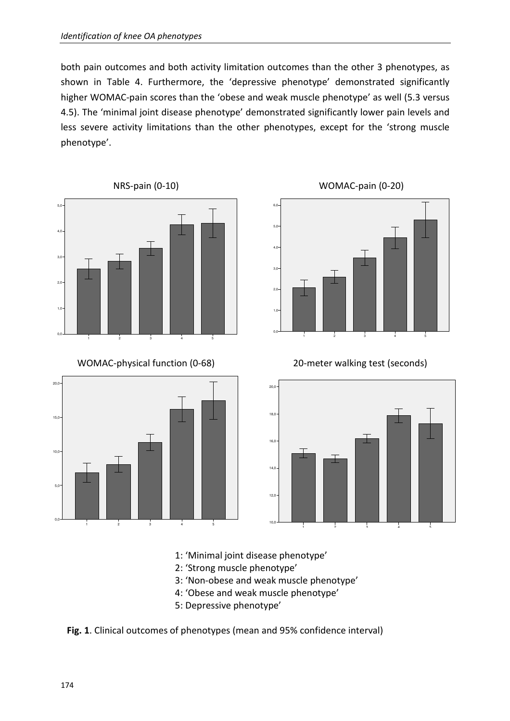both pain outcomes and both activity limitation outcomes than the other 3 phenotypes, as shown in Table 4. Furthermore, the 'depressive phenotype' demonstrated significantly higher WOMAC-pain scores than the 'obese and weak muscle phenotype' as well (5.3 versus 4.5). The 'minimal joint disease phenotype' demonstrated significantly lower pain levels and less severe activity limitations than the other phenotypes, except for the 'strong muscle phenotype'.



WOMAC-physical function (0-68)



WOMAC-pain (0-20)



20-meter walking test (seconds)



- 1: 'Minimal joint disease phenotype'
- 2: 'Strong muscle phenotype'
- 3: 'Non-obese and weak muscle phenotype'
- 4: 'Obese and weak muscle phenotype'
- 5: Depressive phenotype'

**Fig. 1**. Clinical outcomes of phenotypes (mean and 95% confidence interval)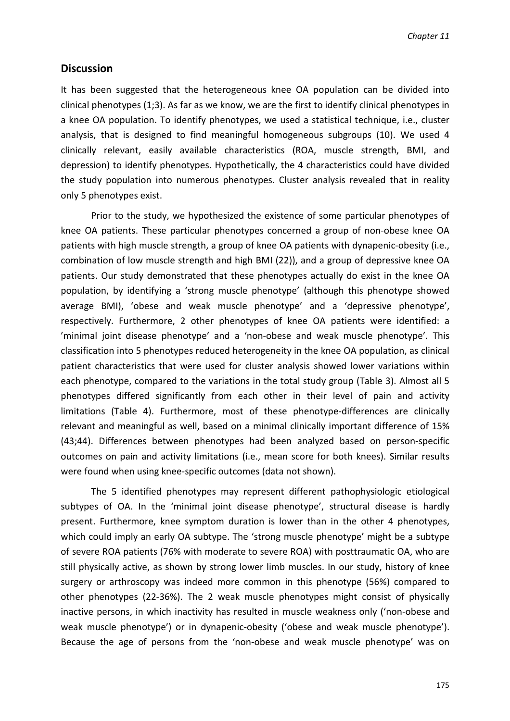## **Discussion**

It has been suggested that the heterogeneous knee OA population can be divided into clinical phenotypes (1;3). As far as we know, we are the first to identify clinical phenotypes in a knee OA population. To identify phenotypes, we used a statistical technique, i.e., cluster analysis, that is designed to find meaningful homogeneous subgroups (10). We used 4 clinically relevant, easily available characteristics (ROA, muscle strength, BMI, and depression) to identify phenotypes. Hypothetically, the 4 characteristics could have divided the study population into numerous phenotypes. Cluster analysis revealed that in reality only 5 phenotypes exist.

Prior to the study, we hypothesized the existence of some particular phenotypes of knee OA patients. These particular phenotypes concerned a group of non-obese knee OA patients with high muscle strength, a group of knee OA patients with dynapenic-obesity (i.e., combination of low muscle strength and high BMI (22)), and a group of depressive knee OA patients. Our study demonstrated that these phenotypes actually do exist in the knee OA population, by identifying a 'strong muscle phenotype' (although this phenotype showed average BMI), 'obese and weak muscle phenotype' and a 'depressive phenotype', respectively. Furthermore, 2 other phenotypes of knee OA patients were identified: a 'minimal joint disease phenotype' and a 'non-obese and weak muscle phenotype'. This classification into 5 phenotypes reduced heterogeneity in the knee OA population, as clinical patient characteristics that were used for cluster analysis showed lower variations within each phenotype, compared to the variations in the total study group (Table 3). Almost all 5 phenotypes differed significantly from each other in their level of pain and activity limitations (Table 4). Furthermore, most of these phenotype-differences are clinically relevant and meaningful as well, based on a minimal clinically important difference of 15% (43;44). Differences between phenotypes had been analyzed based on person-specific outcomes on pain and activity limitations (i.e., mean score for both knees). Similar results were found when using knee-specific outcomes (data not shown).

The 5 identified phenotypes may represent different pathophysiologic etiological subtypes of OA. In the 'minimal joint disease phenotype', structural disease is hardly present. Furthermore, knee symptom duration is lower than in the other 4 phenotypes, which could imply an early OA subtype. The 'strong muscle phenotype' might be a subtype of severe ROA patients (76% with moderate to severe ROA) with posttraumatic OA, who are still physically active, as shown by strong lower limb muscles. In our study, history of knee surgery or arthroscopy was indeed more common in this phenotype (56%) compared to other phenotypes (22-36%). The 2 weak muscle phenotypes might consist of physically inactive persons, in which inactivity has resulted in muscle weakness only ('non-obese and weak muscle phenotype') or in dynapenic-obesity ('obese and weak muscle phenotype'). Because the age of persons from the 'non-obese and weak muscle phenotype' was on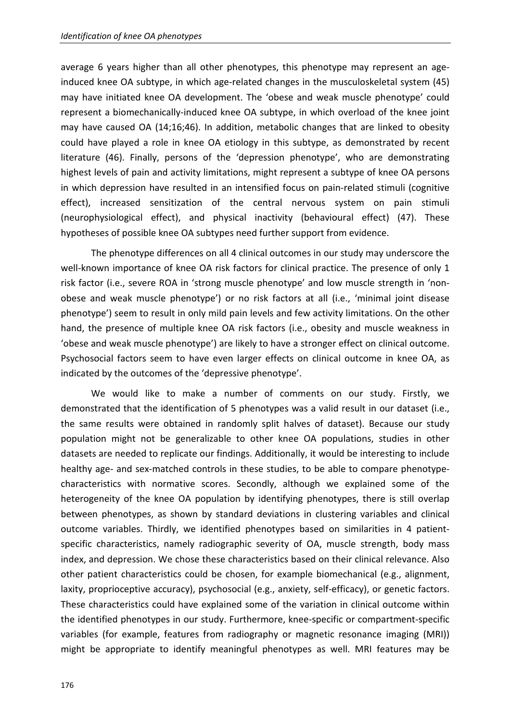average 6 years higher than all other phenotypes, this phenotype may represent an ageinduced knee OA subtype, in which age-related changes in the musculoskeletal system (45) may have initiated knee OA development. The 'obese and weak muscle phenotype' could represent a biomechanically-induced knee OA subtype, in which overload of the knee joint may have caused OA (14;16;46). In addition, metabolic changes that are linked to obesity could have played a role in knee OA etiology in this subtype, as demonstrated by recent literature (46). Finally, persons of the 'depression phenotype', who are demonstrating highest levels of pain and activity limitations, might represent a subtype of knee OA persons in which depression have resulted in an intensified focus on pain-related stimuli (cognitive effect), increased sensitization of the central nervous system on pain stimuli (neurophysiological effect), and physical inactivity (behavioural effect) (47). These hypotheses of possible knee OA subtypes need further support from evidence.

The phenotype differences on all 4 clinical outcomes in our study may underscore the well-known importance of knee OA risk factors for clinical practice. The presence of only 1 risk factor (i.e., severe ROA in 'strong muscle phenotype' and low muscle strength in 'nonobese and weak muscle phenotype') or no risk factors at all (i.e., 'minimal joint disease phenotype') seem to result in only mild pain levels and few activity limitations. On the other hand, the presence of multiple knee OA risk factors (i.e., obesity and muscle weakness in 'obese and weak muscle phenotype') are likely to have a stronger effect on clinical outcome. Psychosocial factors seem to have even larger effects on clinical outcome in knee OA, as indicated by the outcomes of the 'depressive phenotype'.

We would like to make a number of comments on our study. Firstly, we demonstrated that the identification of 5 phenotypes was a valid result in our dataset (i.e., the same results were obtained in randomly split halves of dataset). Because our study population might not be generalizable to other knee OA populations, studies in other datasets are needed to replicate our findings. Additionally, it would be interesting to include healthy age- and sex-matched controls in these studies, to be able to compare phenotypecharacteristics with normative scores. Secondly, although we explained some of the heterogeneity of the knee OA population by identifying phenotypes, there is still overlap between phenotypes, as shown by standard deviations in clustering variables and clinical outcome variables. Thirdly, we identified phenotypes based on similarities in 4 patientspecific characteristics, namely radiographic severity of OA, muscle strength, body mass index, and depression. We chose these characteristics based on their clinical relevance. Also other patient characteristics could be chosen, for example biomechanical (e.g., alignment, laxity, proprioceptive accuracy), psychosocial (e.g., anxiety, self-efficacy), or genetic factors. These characteristics could have explained some of the variation in clinical outcome within the identified phenotypes in our study. Furthermore, knee-specific or compartment-specific variables (for example, features from radiography or magnetic resonance imaging (MRI)) might be appropriate to identify meaningful phenotypes as well. MRI features may be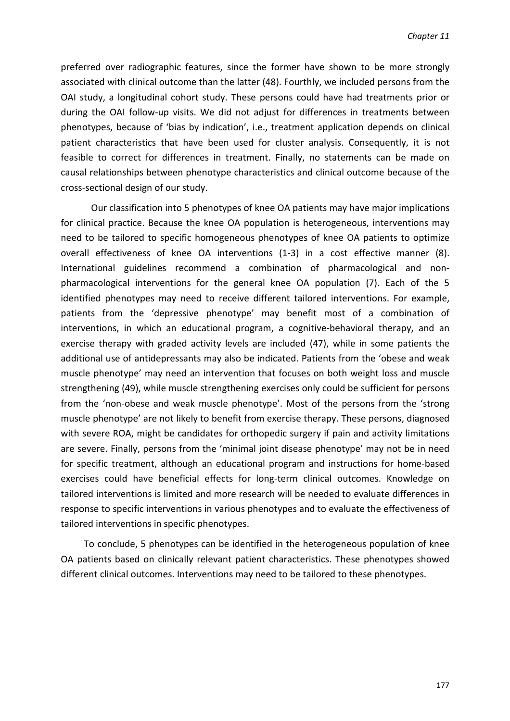preferred over radiographic features, since the former have shown to be more strongly associated with clinical outcome than the latter (48). Fourthly, we included persons from the OAI study, a longitudinal cohort study. These persons could have had treatments prior or during the OAI follow-up visits. We did not adjust for differences in treatments between phenotypes, because of 'bias by indication', i.e., treatment application depends on clinical patient characteristics that have been used for cluster analysis. Consequently, it is not feasible to correct for differences in treatment. Finally, no statements can be made on causal relationships between phenotype characteristics and clinical outcome because of the cross-sectional design of our study.

Our classification into 5 phenotypes of knee OA patients may have major implications for clinical practice. Because the knee OA population is heterogeneous, interventions may need to be tailored to specific homogeneous phenotypes of knee OA patients to optimize overall effectiveness of knee OA interventions (1-3) in a cost effective manner (8). International guidelines recommend a combination of pharmacological and nonpharmacological interventions for the general knee OA population (7). Each of the 5 identified phenotypes may need to receive different tailored interventions. For example, patients from the 'depressive phenotype' may benefit most of a combination of interventions, in which an educational program, a cognitive-behavioral therapy, and an exercise therapy with graded activity levels are included (47), while in some patients the additional use of antidepressants may also be indicated. Patients from the 'obese and weak muscle phenotype' may need an intervention that focuses on both weight loss and muscle strengthening (49), while muscle strengthening exercises only could be sufficient for persons from the 'non-obese and weak muscle phenotype'. Most of the persons from the 'strong muscle phenotype' are not likely to benefit from exercise therapy. These persons, diagnosed with severe ROA, might be candidates for orthopedic surgery if pain and activity limitations are severe. Finally, persons from the 'minimal joint disease phenotype' may not be in need for specific treatment, although an educational program and instructions for home-based exercises could have beneficial effects for long-term clinical outcomes. Knowledge on tailored interventions is limited and more research will be needed to evaluate differences in response to specific interventions in various phenotypes and to evaluate the effectiveness of tailored interventions in specific phenotypes.

To conclude, 5 phenotypes can be identified in the heterogeneous population of knee OA patients based on clinically relevant patient characteristics. These phenotypes showed different clinical outcomes. Interventions may need to be tailored to these phenotypes.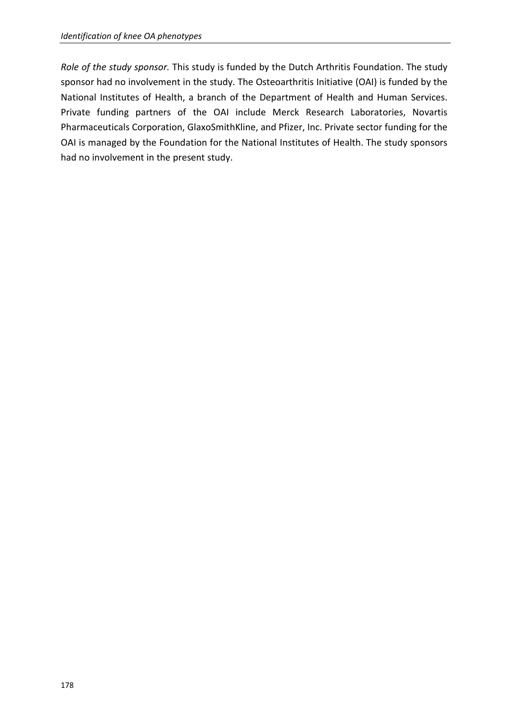*Role of the study sponsor.* This study is funded by the Dutch Arthritis Foundation. The study sponsor had no involvement in the study. The Osteoarthritis Initiative (OAI) is funded by the National Institutes of Health, a branch of the Department of Health and Human Services. Private funding partners of the OAI include Merck Research Laboratories, Novartis Pharmaceuticals Corporation, GlaxoSmithKline, and Pfizer, Inc. Private sector funding for the OAI is managed by the Foundation for the National Institutes of Health. The study sponsors had no involvement in the present study.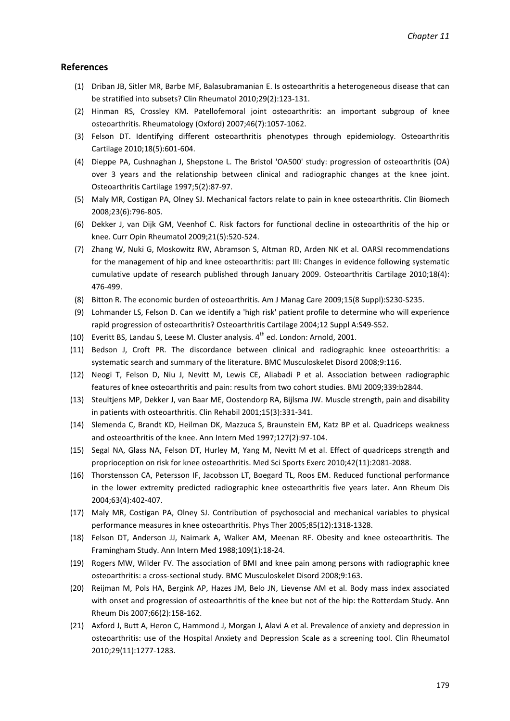#### **References**

- (1) Driban JB, Sitler MR, Barbe MF, Balasubramanian E. Is osteoarthritis a heterogeneous disease that can be stratified into subsets? Clin Rheumatol 2010;29(2):123-131.
- (2) Hinman RS, Crossley KM. Patellofemoral joint osteoarthritis: an important subgroup of knee osteoarthritis. Rheumatology (Oxford) 2007;46(7):1057-1062.
- (3) Felson DT. Identifying different osteoarthritis phenotypes through epidemiology. Osteoarthritis Cartilage 2010;18(5):601-604.
- (4) Dieppe PA, Cushnaghan J, Shepstone L. The Bristol 'OA500' study: progression of osteoarthritis (OA) over 3 years and the relationship between clinical and radiographic changes at the knee joint. Osteoarthritis Cartilage 1997;5(2):87-97.
- (5) Maly MR, Costigan PA, Olney SJ. Mechanical factors relate to pain in knee osteoarthritis. Clin Biomech 2008;23(6):796-805.
- (6) Dekker J, van Dijk GM, Veenhof C. Risk factors for functional decline in osteoarthritis of the hip or knee. Curr Opin Rheumatol 2009;21(5):520-524.
- (7) Zhang W, Nuki G, Moskowitz RW, Abramson S, Altman RD, Arden NK et al. OARSI recommendations for the management of hip and knee osteoarthritis: part III: Changes in evidence following systematic cumulative update of research published through January 2009. Osteoarthritis Cartilage 2010;18(4): 476-499.
- (8) Bitton R. The economic burden of osteoarthritis. Am J Manag Care 2009;15(8 Suppl):S230-S235.
- (9) Lohmander LS, Felson D. Can we identify a 'high risk' patient profile to determine who will experience rapid progression of osteoarthritis? Osteoarthritis Cartilage 2004;12 Suppl A:S49-S52.
- (10) Everitt BS, Landau S, Leese M. Cluster analysis.  $4^{th}$  ed. London: Arnold, 2001.
- (11) Bedson J, Croft PR. The discordance between clinical and radiographic knee osteoarthritis: a systematic search and summary of the literature. BMC Musculoskelet Disord 2008;9:116.
- (12) Neogi T, Felson D, Niu J, Nevitt M, Lewis CE, Aliabadi P et al. Association between radiographic features of knee osteoarthritis and pain: results from two cohort studies. BMJ 2009;339:b2844.
- (13) Steultjens MP, Dekker J, van Baar ME, Oostendorp RA, Bijlsma JW. Muscle strength, pain and disability in patients with osteoarthritis. Clin Rehabil 2001;15(3):331-341.
- (14) Slemenda C, Brandt KD, Heilman DK, Mazzuca S, Braunstein EM, Katz BP et al. Quadriceps weakness and osteoarthritis of the knee. Ann Intern Med 1997;127(2):97-104.
- (15) Segal NA, Glass NA, Felson DT, Hurley M, Yang M, Nevitt M et al. Effect of quadriceps strength and proprioception on risk for knee osteoarthritis. Med Sci Sports Exerc 2010;42(11):2081-2088.
- (16) Thorstensson CA, Petersson IF, Jacobsson LT, Boegard TL, Roos EM. Reduced functional performance in the lower extremity predicted radiographic knee osteoarthritis five years later. Ann Rheum Dis 2004;63(4):402-407.
- (17) Maly MR, Costigan PA, Olney SJ. Contribution of psychosocial and mechanical variables to physical performance measures in knee osteoarthritis. Phys Ther 2005;85(12):1318-1328.
- (18) Felson DT, Anderson JJ, Naimark A, Walker AM, Meenan RF. Obesity and knee osteoarthritis. The Framingham Study. Ann Intern Med 1988;109(1):18-24.
- (19) Rogers MW, Wilder FV. The association of BMI and knee pain among persons with radiographic knee osteoarthritis: a cross-sectional study. BMC Musculoskelet Disord 2008;9:163.
- (20) Reijman M, Pols HA, Bergink AP, Hazes JM, Belo JN, Lievense AM et al. Body mass index associated with onset and progression of osteoarthritis of the knee but not of the hip: the Rotterdam Study. Ann Rheum Dis 2007;66(2):158-162.
- (21) Axford J, Butt A, Heron C, Hammond J, Morgan J, Alavi A et al. Prevalence of anxiety and depression in osteoarthritis: use of the Hospital Anxiety and Depression Scale as a screening tool. Clin Rheumatol 2010;29(11):1277-1283.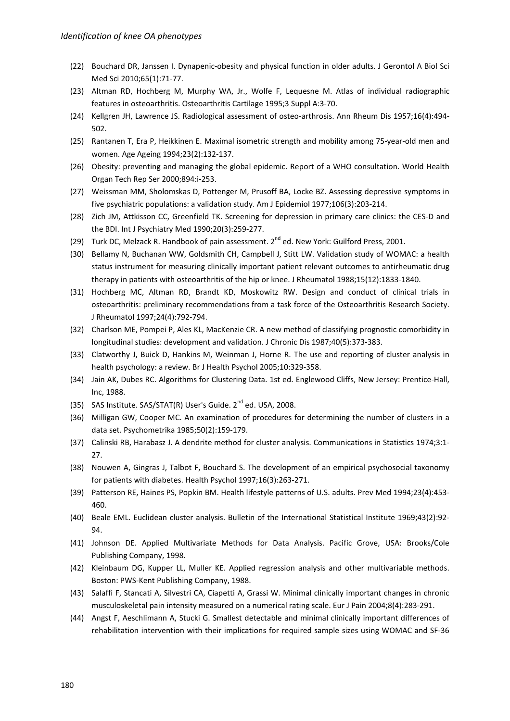- (22) Bouchard DR, Janssen I. Dynapenic-obesity and physical function in older adults. J Gerontol A Biol Sci Med Sci 2010;65(1):71-77.
- (23) Altman RD, Hochberg M, Murphy WA, Jr., Wolfe F, Lequesne M. Atlas of individual radiographic features in osteoarthritis. Osteoarthritis Cartilage 1995;3 Suppl A:3-70.
- (24) Kellgren JH, Lawrence JS. Radiological assessment of osteo-arthrosis. Ann Rheum Dis 1957;16(4):494- 502.
- (25) Rantanen T, Era P, Heikkinen E. Maximal isometric strength and mobility among 75-year-old men and women. Age Ageing 1994;23(2):132-137.
- (26) Obesity: preventing and managing the global epidemic. Report of a WHO consultation. World Health Organ Tech Rep Ser 2000;894:i-253.
- (27) Weissman MM, Sholomskas D, Pottenger M, Prusoff BA, Locke BZ. Assessing depressive symptoms in five psychiatric populations: a validation study. Am J Epidemiol 1977;106(3):203-214.
- (28) Zich JM, Attkisson CC, Greenfield TK. Screening for depression in primary care clinics: the CES-D and the BDI. Int J Psychiatry Med 1990;20(3):259-277.
- (29) Turk DC, Melzack R. Handbook of pain assessment.  $2^{nd}$  ed. New York: Guilford Press, 2001.
- (30) Bellamy N, Buchanan WW, Goldsmith CH, Campbell J, Stitt LW. Validation study of WOMAC: a health status instrument for measuring clinically important patient relevant outcomes to antirheumatic drug therapy in patients with osteoarthritis of the hip or knee. J Rheumatol 1988;15(12):1833-1840.
- (31) Hochberg MC, Altman RD, Brandt KD, Moskowitz RW. Design and conduct of clinical trials in osteoarthritis: preliminary recommendations from a task force of the Osteoarthritis Research Society. J Rheumatol 1997;24(4):792-794.
- (32) Charlson ME, Pompei P, Ales KL, MacKenzie CR. A new method of classifying prognostic comorbidity in longitudinal studies: development and validation. J Chronic Dis 1987;40(5):373-383.
- (33) Clatworthy J, Buick D, Hankins M, Weinman J, Horne R. The use and reporting of cluster analysis in health psychology: a review. Br J Health Psychol 2005;10:329-358.
- (34) Jain AK, Dubes RC. Algorithms for Clustering Data. 1st ed. Englewood Cliffs, New Jersey: Prentice-Hall, Inc, 1988.
- (35) SAS Institute. SAS/STAT(R) User's Guide.  $2^{nd}$  ed. USA, 2008.
- (36) Milligan GW, Cooper MC. An examination of procedures for determining the number of clusters in a data set. Psychometrika 1985;50(2):159-179.
- (37) Calinski RB, Harabasz J. A dendrite method for cluster analysis. Communications in Statistics 1974;3:1- 27.
- (38) Nouwen A, Gingras J, Talbot F, Bouchard S. The development of an empirical psychosocial taxonomy for patients with diabetes. Health Psychol 1997;16(3):263-271.
- (39) Patterson RE, Haines PS, Popkin BM. Health lifestyle patterns of U.S. adults. Prev Med 1994;23(4):453- 460.
- (40) Beale EML. Euclidean cluster analysis. Bulletin of the International Statistical Institute 1969;43(2):92- 94.
- (41) Johnson DE. Applied Multivariate Methods for Data Analysis. Pacific Grove, USA: Brooks/Cole Publishing Company, 1998.
- (42) Kleinbaum DG, Kupper LL, Muller KE. Applied regression analysis and other multivariable methods. Boston: PWS-Kent Publishing Company, 1988.
- (43) Salaffi F, Stancati A, Silvestri CA, Ciapetti A, Grassi W. Minimal clinically important changes in chronic musculoskeletal pain intensity measured on a numerical rating scale. Eur J Pain 2004;8(4):283-291.
- (44) Angst F, Aeschlimann A, Stucki G. Smallest detectable and minimal clinically important differences of rehabilitation intervention with their implications for required sample sizes using WOMAC and SF-36